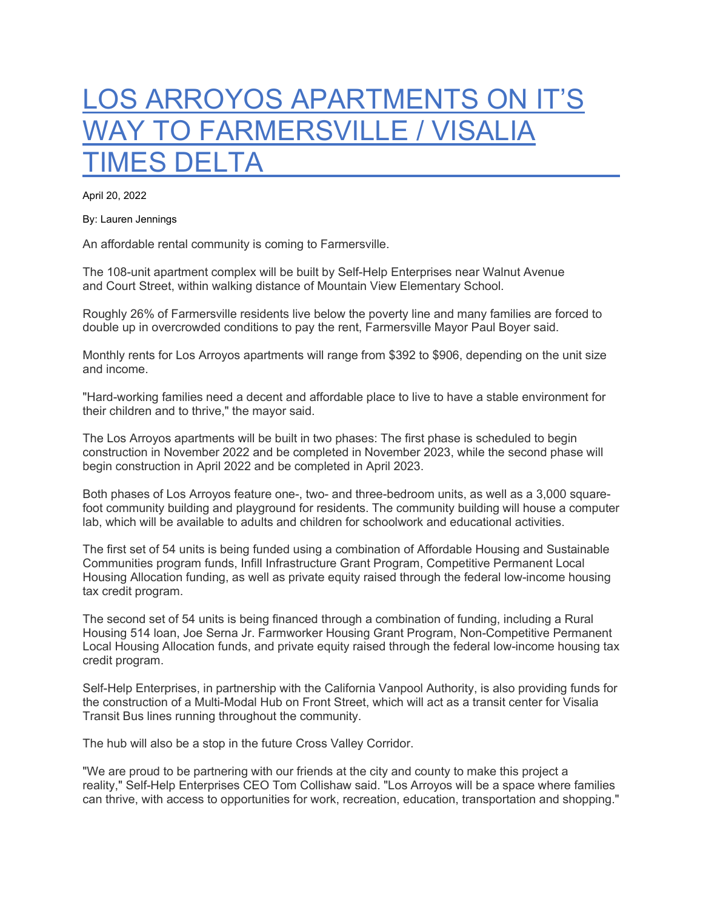## LOS ARROYOS APARTMENTS ON IT'S WAY TO FARMERSVILLE / VISALIA **IMES DELTA**

April 20, 2022

By: Lauren Jennings

An affordable rental community is coming to Farmersville.

The 108-unit apartment complex will be built by Self-Help Enterprises near Walnut Avenue and Court Street, within walking distance of Mountain View Elementary School.

Roughly 26% of Farmersville residents live below the poverty line and many families are forced to double up in overcrowded conditions to pay the rent, Farmersville Mayor Paul Boyer said.

Monthly rents for Los Arroyos apartments will range from \$392 to \$906, depending on the unit size and income.

"Hard-working families need a decent and affordable place to live to have a stable environment for their children and to thrive," the mayor said.

The Los Arroyos apartments will be built in two phases: The first phase is scheduled to begin construction in November 2022 and be completed in November 2023, while the second phase will begin construction in April 2022 and be completed in April 2023.

Both phases of Los Arroyos feature one-, two- and three-bedroom units, as well as a 3,000 squarefoot community building and playground for residents. The community building will house a computer lab, which will be available to adults and children for schoolwork and educational activities.

The first set of 54 units is being funded using a combination of Affordable Housing and Sustainable Communities program funds, Infill Infrastructure Grant Program, Competitive Permanent Local Housing Allocation funding, as well as private equity raised through the federal low-income housing tax credit program.

The second set of 54 units is being financed through a combination of funding, including a Rural Housing 514 loan, Joe Serna Jr. Farmworker Housing Grant Program, Non-Competitive Permanent Local Housing Allocation funds, and private equity raised through the federal low-income housing tax credit program.

Self-Help Enterprises, in partnership with the California Vanpool Authority, is also providing funds for the construction of a Multi-Modal Hub on Front Street, which will act as a transit center for Visalia Transit Bus lines running throughout the community.

The hub will also be a stop in the future Cross Valley Corridor.

"We are proud to be partnering with our friends at the city and county to make this project a reality," Self-Help Enterprises CEO Tom Collishaw said. "Los Arroyos will be a space where families can thrive, with access to opportunities for work, recreation, education, transportation and shopping."